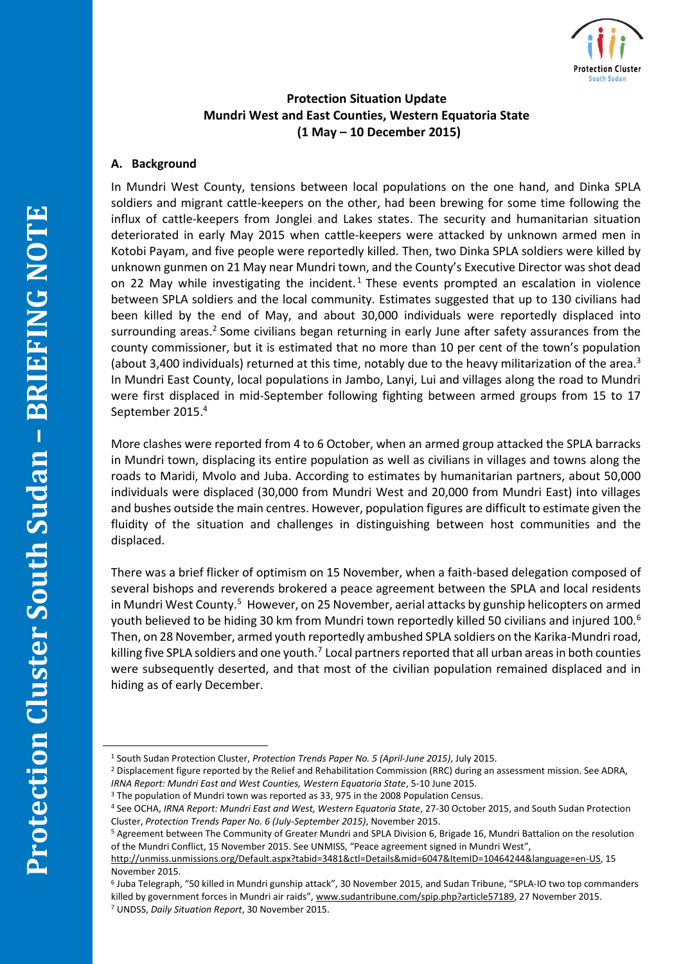

# **Protection Situation Update Mundri West and East Counties, Western Equatoria State (1 May – 10 December 2015)**

## **A. Background**

In Mundri West County, tensions between local populations on the one hand, and Dinka SPLA soldiers and migrant cattle-keepers on the other, had been brewing for some time following the influx of cattle-keepers from Jonglei and Lakes states. The security and humanitarian situation deteriorated in early May 2015 when cattle-keepers were attacked by unknown armed men in Kotobi Payam, and five people were reportedly killed. Then, two Dinka SPLA soldiers were killed by unknown gunmen on 21 May near Mundri town, and the County's Executive Director was shot dead on 22 May while investigating the incident.<sup>1</sup> These events prompted an escalation in violence between SPLA soldiers and the local community. Estimates suggested that up to 130 civilians had been killed by the end of May, and about 30,000 individuals were reportedly displaced into surrounding areas.<sup>2</sup> Some civilians began returning in early June after safety assurances from the county commissioner, but it is estimated that no more than 10 per cent of the town's population (about 3,400 individuals) returned at this time, notably due to the heavy militarization of the area.<sup>3</sup> In Mundri East County, local populations in Jambo, Lanyi, Lui and villages along the road to Mundri were first displaced in mid-September following fighting between armed groups from 15 to 17 September 2015. 4

More clashes were reported from 4 to 6 October, when an armed group attacked the SPLA barracks in Mundri town, displacing its entire population as well as civilians in villages and towns along the roads to Maridi, Mvolo and Juba. According to estimates by humanitarian partners, about 50,000 individuals were displaced (30,000 from Mundri West and 20,000 from Mundri East) into villages and bushes outside the main centres. However, population figures are difficult to estimate given the fluidity of the situation and challenges in distinguishing between host communities and the displaced.

There was a brief flicker of optimism on 15 November, when a faith-based delegation composed of several bishops and reverends brokered a peace agreement between the SPLA and local residents in Mundri West County.<sup>5</sup> However, on 25 November, aerial attacks by gunship helicopters on armed youth believed to be hiding 30 km from Mundri town reportedly killed 50 civilians and injured 100.<sup>6</sup> Then, on 28 November, armed youth reportedly ambushed SPLA soldiers on the Karika-Mundri road, killing five SPLA soldiers and one youth.<sup>7</sup> Local partners reported that all urban areas in both counties were subsequently deserted, and that most of the civilian population remained displaced and in hiding as of early December.

 $\overline{a}$ 

<sup>1</sup> South Sudan Protection Cluster, *Protection Trends Paper No. 5 (April-June 2015)*, July 2015.

<sup>2</sup> Displacement figure reported by the Relief and Rehabilitation Commission (RRC) during an assessment mission. See ADRA, *IRNA Report: Mundri East and West Counties, Western Equatoria State*, 5-10 June 2015.

<sup>&</sup>lt;sup>3</sup> The population of Mundri town was reported as 33, 975 in the 2008 Population Census.

<sup>4</sup> See OCHA, *IRNA Report: Mundri East and West, Western Equatoria State*, 27-30 October 2015, and South Sudan Protection Cluster, *Protection Trends Paper No. 6 (July-September 2015)*, November 2015.

<sup>5</sup> Agreement between The Community of Greater Mundri and SPLA Division 6, Brigade 16, Mundri Battalion on the resolution of the Mundri Conflict, 15 November 2015. See UNMISS, "Peace agreement signed in Mundri West",

[http://unmiss.unmissions.org/Default.aspx?tabid=3481&ctl=Details&mid=6047&ItemID=10464244&language=en-US,](http://unmiss.unmissions.org/Default.aspx?tabid=3481&ctl=Details&mid=6047&ItemID=10464244&language=en-US) 15 November 2015.

<sup>6</sup> Juba Telegraph, "50 killed in Mundri gunship attack", 30 November 2015, and Sudan Tribune, "SPLA-IO two top commanders killed by government forces in Mundri air raids", [www.sudantribune.com/spip.php?article57189,](http://www.sudantribune.com/spip.php?article57189) 27 November 2015. <sup>7</sup> UNDSS, *Daily Situation Report*, 30 November 2015.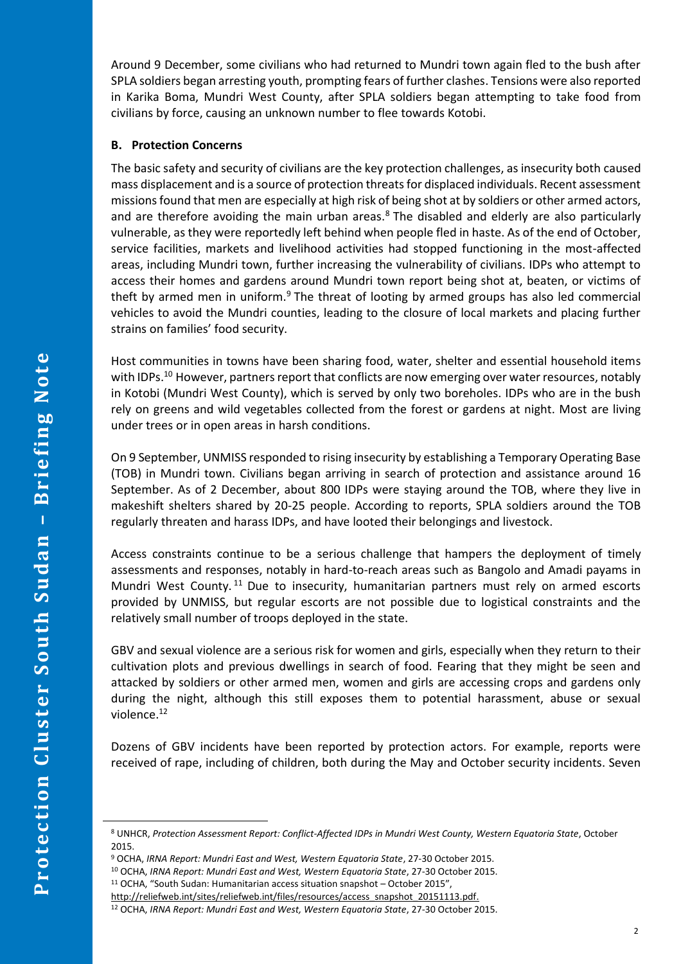Around 9 December, some civilians who had returned to Mundri town again fled to the bush after SPLA soldiers began arresting youth, prompting fears of further clashes. Tensions were also reported in Karika Boma, Mundri West County, after SPLA soldiers began attempting to take food from civilians by force, causing an unknown number to flee towards Kotobi.

### **B. Protection Concerns**

The basic safety and security of civilians are the key protection challenges, as insecurity both caused mass displacement and is a source of protection threats for displaced individuals. Recent assessment missions found that men are especially at high risk of being shot at by soldiers or other armed actors, and are therefore avoiding the main urban areas. $8$  The disabled and elderly are also particularly vulnerable, as they were reportedly left behind when people fled in haste. As of the end of October, service facilities, markets and livelihood activities had stopped functioning in the most-affected areas, including Mundri town, further increasing the vulnerability of civilians. IDPs who attempt to access their homes and gardens around Mundri town report being shot at, beaten, or victims of theft by armed men in uniform. $9$  The threat of looting by armed groups has also led commercial vehicles to avoid the Mundri counties, leading to the closure of local markets and placing further strains on families' food security.

Host communities in towns have been sharing food, water, shelter and essential household items with IDPs.<sup>10</sup> However, partners report that conflicts are now emerging over water resources, notably in Kotobi (Mundri West County), which is served by only two boreholes. IDPs who are in the bush rely on greens and wild vegetables collected from the forest or gardens at night. Most are living under trees or in open areas in harsh conditions.

On 9 September, UNMISS responded to rising insecurity by establishing a Temporary Operating Base (TOB) in Mundri town. Civilians began arriving in search of protection and assistance around 16 September. As of 2 December, about 800 IDPs were staying around the TOB, where they live in makeshift shelters shared by 20-25 people. According to reports, SPLA soldiers around the TOB regularly threaten and harass IDPs, and have looted their belongings and livestock.

Access constraints continue to be a serious challenge that hampers the deployment of timely assessments and responses, notably in hard-to-reach areas such as Bangolo and Amadi payams in Mundri West County.<sup>11</sup> Due to insecurity, humanitarian partners must rely on armed escorts provided by UNMISS, but regular escorts are not possible due to logistical constraints and the relatively small number of troops deployed in the state.

GBV and sexual violence are a serious risk for women and girls, especially when they return to their cultivation plots and previous dwellings in search of food. Fearing that they might be seen and attacked by soldiers or other armed men, women and girls are accessing crops and gardens only during the night, although this still exposes them to potential harassment, abuse or sexual violence.<sup>12</sup>

Dozens of GBV incidents have been reported by protection actors. For example, reports were received of rape, including of children, both during the May and October security incidents. Seven

 $\overline{a}$ 

<sup>8</sup> UNHCR, *Protection Assessment Report: Conflict-Affected IDPs in Mundri West County, Western Equatoria State*, October 2015.

<sup>9</sup> OCHA, *IRNA Report: Mundri East and West, Western Equatoria State*, 27-30 October 2015.

<sup>10</sup> OCHA, *IRNA Report: Mundri East and West, Western Equatoria State*, 27-30 October 2015.

<sup>11</sup> OCHA, "South Sudan: Humanitarian access situation snapshot – October 2015",

[http://reliefweb.int/sites/reliefweb.int/files/resources/access\\_snapshot\\_20151113.pdf.](http://reliefweb.int/sites/reliefweb.int/files/resources/access_snapshot_20151113.pdf)

<sup>12</sup> OCHA, *IRNA Report: Mundri East and West, Western Equatoria State*, 27-30 October 2015.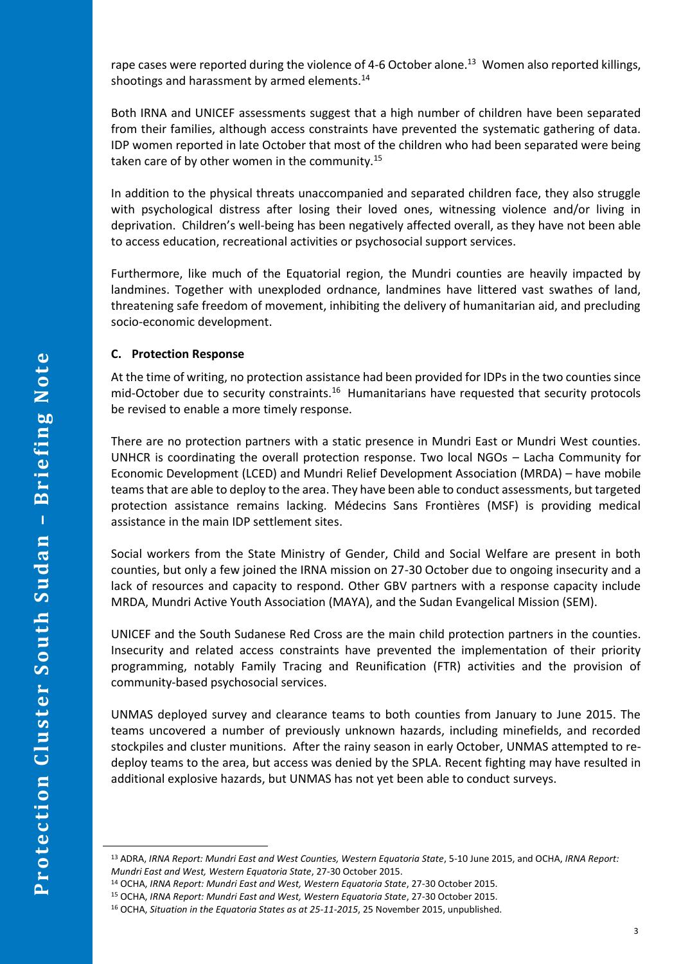rape cases were reported during the violence of 4-6 October alone.<sup>13</sup> Women also reported killings, shootings and harassment by armed elements.<sup>14</sup>

Both IRNA and UNICEF assessments suggest that a high number of children have been separated from their families, although access constraints have prevented the systematic gathering of data. IDP women reported in late October that most of the children who had been separated were being taken care of by other women in the community.<sup>15</sup>

In addition to the physical threats unaccompanied and separated children face, they also struggle with psychological distress after losing their loved ones, witnessing violence and/or living in deprivation. Children's well-being has been negatively affected overall, as they have not been able to access education, recreational activities or psychosocial support services.

Furthermore, like much of the Equatorial region, the Mundri counties are heavily impacted by landmines. Together with unexploded ordnance, landmines have littered vast swathes of land, threatening safe freedom of movement, inhibiting the delivery of humanitarian aid, and precluding socio-economic development.

### **C. Protection Response**

At the time of writing, no protection assistance had been provided for IDPs in the two counties since mid-October due to security constraints.<sup>16</sup> Humanitarians have requested that security protocols be revised to enable a more timely response.

There are no protection partners with a static presence in Mundri East or Mundri West counties. UNHCR is coordinating the overall protection response. Two local NGOs – Lacha Community for Economic Development (LCED) and Mundri Relief Development Association (MRDA) – have mobile teams that are able to deploy to the area. They have been able to conduct assessments, but targeted protection assistance remains lacking. Médecins Sans Frontières (MSF) is providing medical assistance in the main IDP settlement sites.

Social workers from the State Ministry of Gender, Child and Social Welfare are present in both counties, but only a few joined the IRNA mission on 27-30 October due to ongoing insecurity and a lack of resources and capacity to respond. Other GBV partners with a response capacity include MRDA, Mundri Active Youth Association (MAYA), and the Sudan Evangelical Mission (SEM).

UNICEF and the South Sudanese Red Cross are the main child protection partners in the counties. Insecurity and related access constraints have prevented the implementation of their priority programming, notably Family Tracing and Reunification (FTR) activities and the provision of community-based psychosocial services.

UNMAS deployed survey and clearance teams to both counties from January to June 2015. The teams uncovered a number of previously unknown hazards, including minefields, and recorded stockpiles and cluster munitions. After the rainy season in early October, UNMAS attempted to redeploy teams to the area, but access was denied by the SPLA. Recent fighting may have resulted in additional explosive hazards, but UNMAS has not yet been able to conduct surveys.

 $\overline{a}$ 

<sup>13</sup> ADRA, *IRNA Report: Mundri East and West Counties, Western Equatoria State*, 5-10 June 2015, and OCHA, *IRNA Report: Mundri East and West, Western Equatoria State*, 27-30 October 2015.

<sup>14</sup> OCHA, *IRNA Report: Mundri East and West, Western Equatoria State*, 27-30 October 2015.

<sup>15</sup> OCHA, *IRNA Report: Mundri East and West, Western Equatoria State*, 27-30 October 2015.

<sup>16</sup> OCHA, *Situation in the Equatoria States as at 25-11-2015*, 25 November 2015, unpublished.